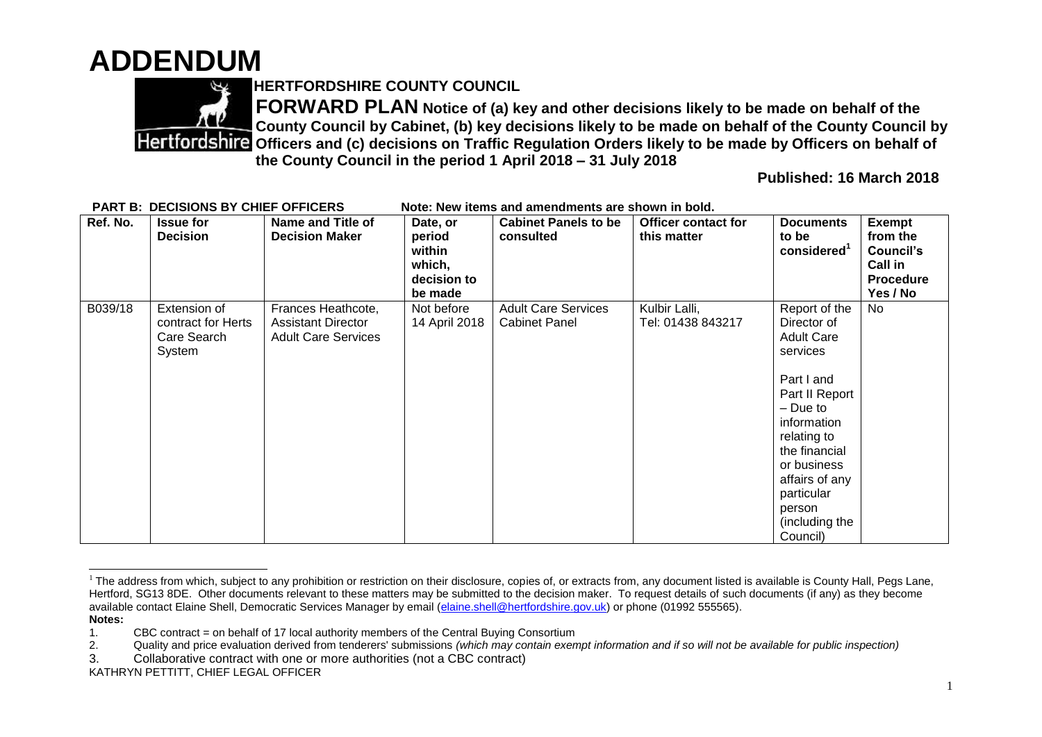## **ADDENDUM**



**HERTFORDSHIRE COUNTY COUNCIL**

**FORWARD PLAN Notice of (a) key and other decisions likely to be made on behalf of the County Council by Cabinet, (b) key decisions likely to be made on behalf of the County Council by Partfordshire Officers and (c) decisions on Traffic Regulation Orders likely to be made by Officers on behalf of the County Council in the period 1 April 2018 – 31 July 2018** 

**Published: 16 March 2018**

| Ref. No. | <b>Issue for</b><br><b>Decision</b>                         | <b>Name and Title of</b><br><b>Decision Maker</b>                             | Date, or<br>period<br>within<br>which,<br>decision to<br>be made | <b>Cabinet Panels to be</b><br>consulted           | <b>Officer contact for</b><br>this matter | <b>Documents</b><br>to be<br>considered <sup>1</sup>                                                                                                                                                                                            | <b>Exempt</b><br>from the<br><b>Council's</b><br>Call in<br><b>Procedure</b><br>Yes / No |
|----------|-------------------------------------------------------------|-------------------------------------------------------------------------------|------------------------------------------------------------------|----------------------------------------------------|-------------------------------------------|-------------------------------------------------------------------------------------------------------------------------------------------------------------------------------------------------------------------------------------------------|------------------------------------------------------------------------------------------|
| B039/18  | Extension of<br>contract for Herts<br>Care Search<br>System | Frances Heathcote,<br><b>Assistant Director</b><br><b>Adult Care Services</b> | Not before<br>14 April 2018                                      | <b>Adult Care Services</b><br><b>Cabinet Panel</b> | Kulbir Lalli,<br>Tel: 01438 843217        | Report of the<br>Director of<br><b>Adult Care</b><br>services<br>Part I and<br>Part II Report<br>- Due to<br>information<br>relating to<br>the financial<br>or business<br>affairs of any<br>particular<br>person<br>(including the<br>Council) | No                                                                                       |

PART B: DECISIONS BY CHIEF OFFICERS Note: New items and amendments are shown in bold

 $\overline{a}$  $1$  The address from which, subject to any prohibition or restriction on their disclosure, copies of, or extracts from, any document listed is available is County Hall, Pegs Lane, Hertford, SG13 8DE. Other documents relevant to these matters may be submitted to the decision maker. To request details of such documents (if any) as they become available contact Elaine Shell, Democratic Services Manager by email [\(elaine.shell@hertfordshire.gov.uk\)](mailto:elaine.shell@hertfordshire.gov.uk) or phone (01992 555565). **Notes:** 

<sup>1.</sup> CBC contract = on behalf of 17 local authority members of the Central Buying Consortium

<sup>2.</sup> Quality and price evaluation derived from tenderers' submissions *(which may contain exempt information and if so will not be available for public inspection)*

<sup>3.</sup> Collaborative contract with one or more authorities (not a CBC contract)

KATHRYN PETTITT, CHIEF LEGAL OFFICER